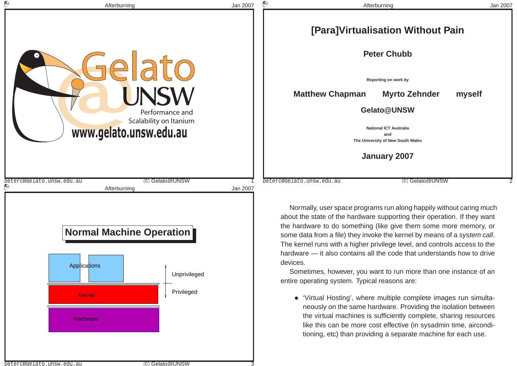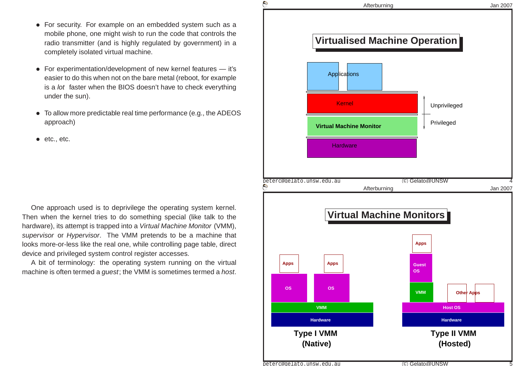- For security. For example on an embedded system such as <sup>a</sup> mobile phone, one might wish to run the code that controls the radio transmitter (and is highly regulated by government) in <sup>a</sup>completely isolated virtual machine.
- For experimentation/development of new kernel features it's easier to do this when not on the bare metal (reboot, for exampleis a *lot* faster when the BIOS doesn't have to check everything under the sun).
- To allow more predictable real time performance (e.g., the ADEOSapproach)
- etc., etc.

One approach used is to deprivilege the operating system kernel. Then when the kernel tries to do something special (like talk to thehardware), its attempt is trapped into a *Virtual Machine Monitor* (VMM), s*upervisor* or *Hypervisor*. The VMM pretends to be a machine that looks more-or-less like the real one, while controlling page table, direct device and privileged system control register accesses.

A bit of terminology: the operating system running on the virtual machine is often termed a *guest*; the VMM is sometimes termed a *host*.

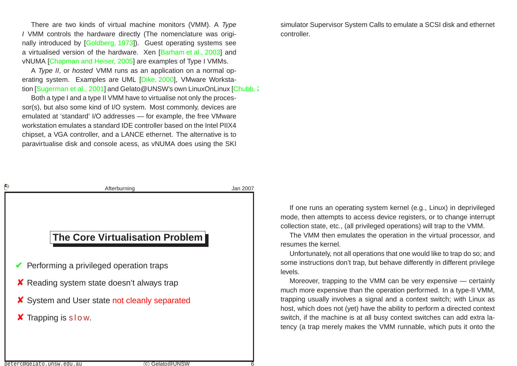There are two kinds of virtual machine monitors (VMM). A Type I VMM controls the hardware directly (The nomenclature was originally introduced by [\[Goldberg,](#page-15-0) 1973]). Guest operating systems seea virtualised version of the hardware. Xen [[Barham](#page-15-1) et al., 2003] and vNUMA [\[Chapman](#page-15-0) and Heiser, 2005] are examples of Type I VMMs.

A Type II, or hosted VMM runs as an application on <sup>a</sup> normal operating system. Examples are UML [Dike, [2000](#page-15-2)], VMware Worksta-tion [\[Sugerman](#page-16-0) et al., 2001] and Gelato@UNSW's own LinuxOnLinux [[Chubb,](#page-15-3) 2005]

Both <sup>a</sup> type I and <sup>a</sup> type II VMM have to virtualise not only the processor(s), but also some kind of I/O system. Most commonly, devices are emulated at 'standard' I/O addresses — for example, the free VMware workstation emulates <sup>a</sup> standard IDE controller based on the Intel PIIX4 chipset, <sup>a</sup> VGA controller, and <sup>a</sup> LANCE ethernet. The alternative is toparavirtualise disk and console acess, as vNUMA does using the SKI

simulator Supervisor System Calls to emulate <sup>a</sup> SCSI disk and ethernet controller.

| Afterburning                           | Jan 2007                                                                                                                                                                                          |
|----------------------------------------|---------------------------------------------------------------------------------------------------------------------------------------------------------------------------------------------------|
|                                        |                                                                                                                                                                                                   |
|                                        |                                                                                                                                                                                                   |
|                                        |                                                                                                                                                                                                   |
| <b>The Core Virtualisation Problem</b> |                                                                                                                                                                                                   |
|                                        |                                                                                                                                                                                                   |
|                                        |                                                                                                                                                                                                   |
|                                        |                                                                                                                                                                                                   |
|                                        |                                                                                                                                                                                                   |
|                                        |                                                                                                                                                                                                   |
|                                        |                                                                                                                                                                                                   |
|                                        |                                                                                                                                                                                                   |
|                                        | $\blacktriangleright$ Performing a privileged operation traps<br><b>X</b> Reading system state doesn't always trap<br>X System and User state not cleanly separated<br><b>X</b> Trapping is slow. |

c Gelato@UNSW 6

If one runs an operating system kernel (e.g., Linux) in deprivileged mode, then attempts to access device registers, or to change interrupt collection state, etc., (all privileged operations) will trap to the VMM.

The VMM then emulates the operation in the virtual processor, andresumes the kernel.

Unfortunately, not all operations that one would like to trap do so; and some instructions don't trap, but behave differently in different privilegelevels.

Moreover, trapping to the VMM can be very expensive — certainly much more expensive than the operation performed. In <sup>a</sup> type-II VMM, trapping usually involves <sup>a</sup> signal and <sup>a</sup> context switch; with Linux as host, which does not (yet) have the ability to perform <sup>a</sup> directed context switch, if the machine is at all busy context switches can add extra latency (a trap merely makes the VMM runnable, which puts it onto the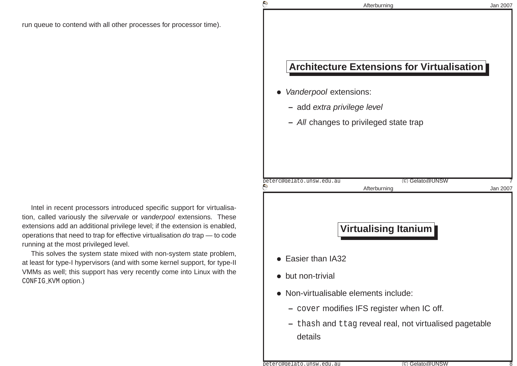**© Cyrille CARRY**

Intel in recent processors introduced specific support for virtualisation, called variously the s*ilvervale* or *vanderpool* extensions. These extensions add an additional privilege level; if the extension is enabled, operations that need to trap for effective virtualisation *do* trap — to code running at the most privileged level.

This solves the system state mixed with non-system state problem, at least for type-I hypervisors (and with some kernel support, for type-II VMMs as well; this support has very recently come into Linux with theCONFIG\_KVM <mark>option.)</mark>

|                                     | <b>Architecture Extensions for Virtualisation</b>       |          |
|-------------------------------------|---------------------------------------------------------|----------|
| Vanderpool extensions:              |                                                         |          |
| - add extra privilege level         |                                                         |          |
|                                     | - All changes to privileged state trap                  |          |
|                                     |                                                         |          |
|                                     |                                                         |          |
| peterc@gelato.unsw.edu.au           | (c) Gelato@UNSW<br>Afterburning                         | Jan 2007 |
|                                     |                                                         |          |
|                                     |                                                         |          |
|                                     |                                                         |          |
|                                     | <b>Virtualising Itanium</b>                             |          |
|                                     |                                                         |          |
| Easier than IA32                    |                                                         |          |
| but non-trivial                     |                                                         |          |
| Non-virtualisable elements include: |                                                         |          |
|                                     | cover modifies IFS register when IC off.                |          |
| details                             | - thash and ttag reveal real, not virtualised pagetable |          |

Afterburning

Jan <sup>2007</sup>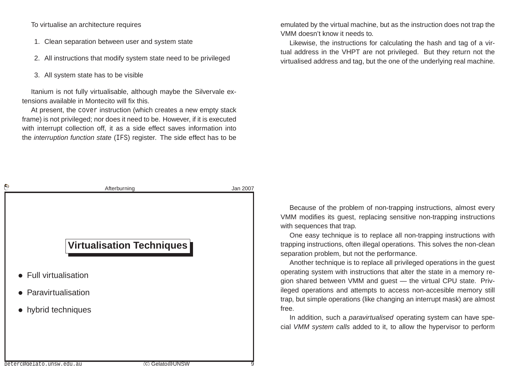To virtualise an architecture requires

- 1. Clean separation between user and system state
- 2. All instructions that modify system state need to be privileged
- 3. All system state has to be visible

Itanium is not fully virtualisable, although maybe the Silvervale extensions available in Montecito will fix this.

At present, the cover instruction (which creates <sup>a</sup> new empty stack frame) is not privileged; nor does it need to be. However, if it is executed with interrupt collection off, it as <sup>a</sup> side effect saves information intothe *interruption function state* (IFS) register. The side effect has to be

emulated by the virtual machine, but as the instruction does not trap the VMM doesn't know it needs to.

Likewise, the instructions for calculating the hash and tag of <sup>a</sup> vir tual address in the VHPT are not privileged. But they return not thevirtualised address and tag, but the one of the underlying real machine.

| $\Theta$                  | Afterburning                     | Jan 2007      |
|---------------------------|----------------------------------|---------------|
|                           |                                  |               |
|                           |                                  |               |
|                           |                                  |               |
|                           | <b>Virtualisation Techniques</b> |               |
|                           |                                  |               |
| • Full virtualisation     |                                  |               |
| • Paravirtualisation      |                                  |               |
| • hybrid techniques       |                                  |               |
|                           |                                  |               |
|                           |                                  |               |
|                           |                                  |               |
| peterc@gelato.unsw.edu.au |                                  | C Gelato@UNSW |

Because of the problem of non-trapping instructions, almost every VMM modifies its guest, replacing sensitive non-trapping instructionswith sequences that trap.

One easy technique is to replace all non-trapping instructions with trapping instructions, often illegal operations. This solves the non-cleanseparation problem, but not the performance.

Another technique is to replace all privileged operations in the guest operating system with instructions that alter the state in <sup>a</sup> memory region shared between VMM and guest — the virtual CPU state. Privileged operations and attempts to access non-accesible memory still trap, but simple operations (like changing an interrupt mask) are almost free.

In addition, such a *paravirtualised* operating system can have special VMM system calls added to it, to allow the hypervisor to perform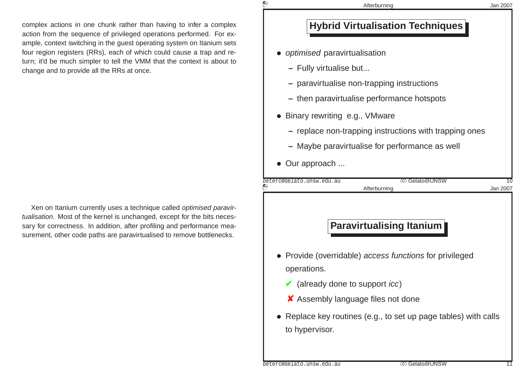complex actions in one chunk rather than having to infer <sup>a</sup> complex action from the sequence of privileged operations performed. For example, context switching in the guest operating system on Itanium sets four region registers (RRs), each of which could cause <sup>a</sup> trap and return; it'd be much simpler to tell the VMM that the context is about tochange and to provide all the RRs at once.

Xen on Itanium currently uses <sup>a</sup> technique called optimised paravirtualisation. Most of the kernel is unchanged, except for the bits necessary for correctness. In addition, after profiling and performance measurement, other code paths are paravirtualised to remove bottlenecks.

### **Hybrid Virtualisation Techniques**

• optimised paravirtualisation

**© Cyrille CARRY**

- **–** Fully virtualise but...
- **–** paravirtualise non-trapping instructions
- **–** then paravirtualise performance hotspots
- Binary rewriting e.g., VMware
	- **–** replace non-trapping instructions with trapping ones
	- **–** Maybe paravirtualise for performance as well
- Our approach ...

| peterc@gelato.unsw.edu.au | C)           | Gelato@UNSW |  |
|---------------------------|--------------|-------------|--|
| $\blacktriangle$          | Afterburnina |             |  |

#### **Paravirtualising Itanium**

- Provide (overridable) access functions for privileged operations.
	- $\blacktriangleright$  (already done to support *icc*)
	- ✘ Assembly language files not done
- Replace key routines (e.g., to set up page tables) with calls to hypervisor.

peterc@gelato.unsw.edu.au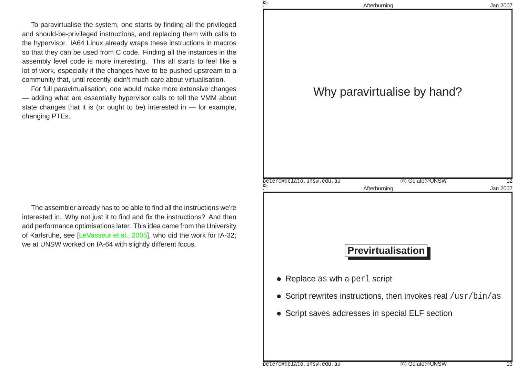To paravirtualise the system, one starts by finding all the privileged and should-be-privileged instructions, and replacing them with calls to the hypervisor. IA64 Linux already wraps these instructions in macros so that they can be used from C code. Finding all the instances in the assembly level code is more interesting. This all starts to feel like <sup>a</sup> lot of work, especially if the changes have to be pushed upstream to <sup>a</sup> community that, until recently, didn't much care about virtualisation.

For full paravirtualisation, one would make more extensive changes — adding what are essentially hypervisor calls to tell the VMM about state changes that it is (or ought to be) interested in — for example, changing PTEs.

The assembler already has to be able to find all the instructions we're interested in. Why not just it to find and fix the instructions? And then add performance optimisations later. This idea came from the University of Karlsruhe, see [\[LeVasseur](#page-15-4) et al., 2005], who did the work for IA-32; we at UNSW worked on IA-64 with slightly different focus.

|          | Afterburning                                                                                    | Jan 2007 |
|----------|-------------------------------------------------------------------------------------------------|----------|
|          | Why paravirtualise by hand?                                                                     |          |
| $\Theta$ | (c) Gelato@UNSW<br>peterc@gelato.unsw.edu.au<br>Afterburning                                    | Jan 2007 |
|          | <b>Previrtualisation</b>                                                                        |          |
|          |                                                                                                 |          |
|          | • Replace as wth a perl script<br>• Script rewrites instructions, then invokes real /usr/bin/as |          |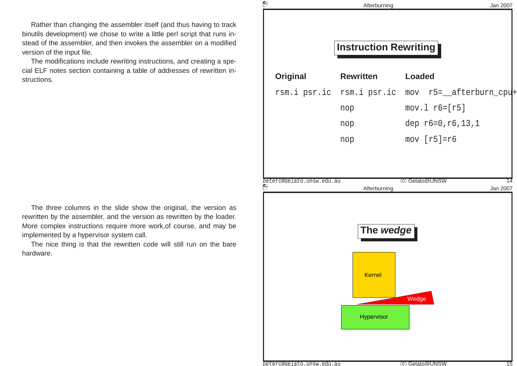Rather than changing the assembler itself (and thus having to track binutils development) we chose to write <sup>a</sup> little perl script that runs instead of the assembler, and then invokes the assembler on <sup>a</sup> modifiedversion of the input file.

The modifications include rewriting instructions, and creating <sup>a</sup> special ELF notes section containing <sup>a</sup> table of addresses of rewritten instructions.

The three columns in the slide show the original, the version as rewritten by the assembler, and the version as rewritten by the loader. More complex instructions require more work,of course, and may beimplemented by <sup>a</sup> hypervisor system call.

The nice thing is that the rewritten code will still run on the barehardware.

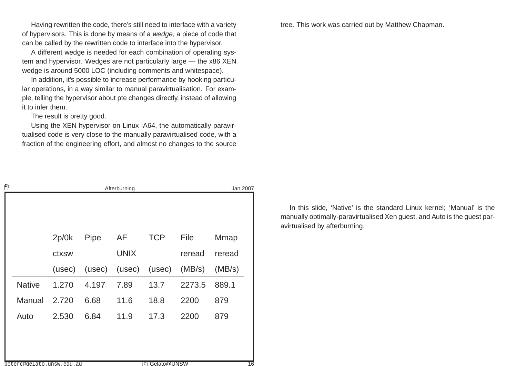Having rewritten the code, there's still need to interface with <sup>a</sup> varietyof hypervisors. This is done by means of a *wedge*, a piece of code that can be called by the rewritten code to interface into the hypervisor.

A different wedge is needed for each combination of operating system and hypervisor. Wedges are not particularly large — the x86 XENwedge is around 5000 LOC (including comments and whitespace).

In addition, it's possible to increase performance by hooking particular operations, in <sup>a</sup> way similar to manual paravirtualisation. For example, telling the hypervisor about pte changes directly, instead of allowingit to infer them.

The result is pretty good.

Using the XEN hypervisor on Linux IA64, the automatically paravir tualised code is very close to the manually paravirtualised code, with <sup>a</sup>fraction of the engineering effort, and almost no changes to the source

| G |                                            | Afterburning |        |             |            | Jan 2007 |        |    |
|---|--------------------------------------------|--------------|--------|-------------|------------|----------|--------|----|
|   |                                            |              |        |             |            |          |        |    |
|   |                                            | 2p/0k        | Pipe   | AF          | <b>TCP</b> | File     | Mmap   |    |
|   |                                            | ctxsw        |        | <b>UNIX</b> |            | reread   | reread |    |
|   |                                            | (usec)       | (usec) | (usec)      | (usec)     | (MB/s)   | (MB/s) |    |
|   | <b>Native</b>                              | 1.270        | 4.197  | 7.89        | 13.7       | 2273.5   | 889.1  |    |
|   | Manual                                     | 2.720        | 6.68   | 11.6        | 18.8       | 2200     | 879    |    |
|   | Auto                                       | 2.530        | 6.84   | 11.9        | 17.3       | 2200     | 879    |    |
|   |                                            |              |        |             |            |          |        |    |
|   |                                            |              |        |             |            |          |        |    |
|   | C Gelato@UNSW<br>peterc@gelato.unsw.edu.au |              |        |             |            |          |        | 16 |

tree. This work was carried out by Matthew Chapman.

In this slide, 'Native' is the standard Linux kernel; 'Manual' is the manually optimally-paravirtualised Xen guest, and Auto is the guest paravirtualised by afterburning.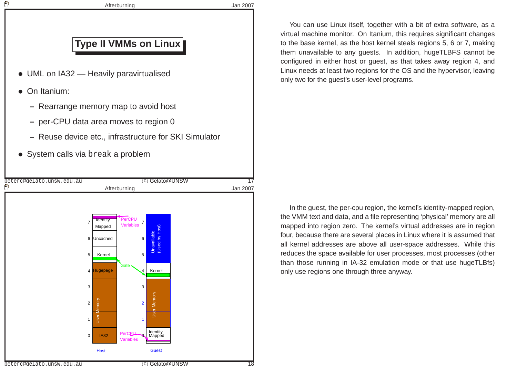

**Afterburning** 

Jan <sup>2007</sup>

## **Type II VMMs on Linux**

- UML on IA32 Heavily paravirtualised
- On Itanium:
	- **–** Rearrange memory map to avoid host
	- **–** per-CPU data area moves to region <sup>0</sup>
	- **–** Reuse device etc., infrastructure for SKI Simulator
- System calls via break <sup>a</sup> problem



You can use Linux itself, together with <sup>a</sup> bit of extra software, as <sup>a</sup> virtual machine monitor. On Itanium, this requires significant changes to the base kernel, as the host kernel steals regions 5, 6 or 7, making them unavailable to any guests. In addition, hugeTLBFS cannot be configured in either host or guest, as that takes away region 4, and Linux needs at least two regions for the OS and the hypervisor, leavingonly two for the guest's user-level programs.

In the guest, the per-cpu region, the kernel's identity-mapped region, the VMM text and data, and <sup>a</sup> file representing 'physical' memory are all mapped into region zero. The kernel's virtual addresses are in region four, because there are several places in Linux where it is assumed that all kernel addresses are above all user-space addresses. While this reduces the space available for user processes, most processes (otherthan those running in IA-32 emulation mode or that use hugeTLBfs)only use regions one through three anyway.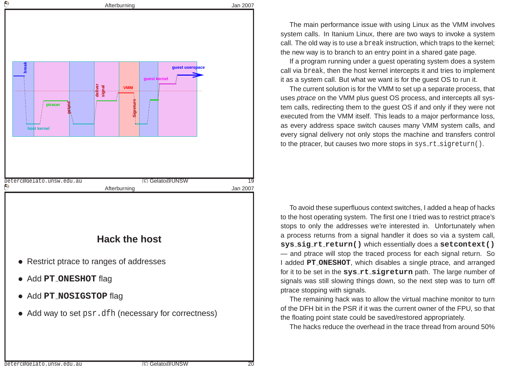

The main performance issue with using Linux as the VMM involves system calls. In Itanium Linux, there are two ways to invoke <sup>a</sup> system call. The old way is to use <sup>a</sup> break instruction, which traps to the kernel; the new way is to branch to an entry point in <sup>a</sup> shared gate page.

If <sup>a</sup> program running under <sup>a</sup> guest operating system does <sup>a</sup> system call via break, then the host kernel intercepts it and tries to implement it as <sup>a</sup> system call. But what we want is for the guest OS to run it.

The current solution is for the VMM to set up <sup>a</sup> separate process, that uses *ptrace* on the VMM plus guest OS process, and intercepts all system calls, redirecting them to the guest OS if and only if they were not executed from the VMM itself. This leads to <sup>a</sup> major performance loss, as every address space switch causes many VMM system calls, and every signal delivery not only stops the machine and transfers control to the ptracer, but causes two more stops in  $\texttt{sys\_rt\_signeturn}()$  .

To avoid these superfluous context switches, I added <sup>a</sup> heap of hacks to the host operating system. The first one I tried was to restrict ptrace's stops to only the addresses we're interested in. Unfortunately when <sup>a</sup> process returns from <sup>a</sup> signal handler it does so via <sup>a</sup> system call, **sys sig rt return()** which essentially does <sup>a</sup> **setcontext()** — and ptrace will stop the traced process for each signal return. So I added **PT ONESHOT**, which disables <sup>a</sup> single ptrace, and arranged for it to be set in the **sys rt sigreturn** path. The large number of signals was still slowing things down, so the next step was to turn off ptrace stopping with signals.

The remaining hack was to allow the virtual machine monitor to turn of the DFH bit in the PSR if it was the current owner of the FPU, so that the floating point state could be saved/restored appropriately.

The hacks reduce the overhead in the trace thread from around 50%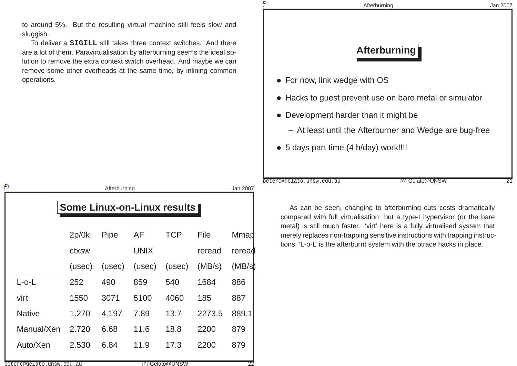to around 5%. But the resulting virtual machine still feels slow andsluggish.

To deliver <sup>a</sup> **SIGILL** still takes three context switches. And there are <sup>a</sup> lot of them. Paravirtualisation by afterburning seems the ideal solution to remove the extra context switch overhead. And maybe we can remove some other overheads at the same time, by inlining commonoperations.

| ▽                                  |        | Afterburning |             |               |        | Jan 2007 |
|------------------------------------|--------|--------------|-------------|---------------|--------|----------|
| <b>Some Linux-on-Linux results</b> |        |              |             |               |        |          |
|                                    | 2p/0k  | Pipe         | AF          | <b>TCP</b>    | File   | Mmad     |
|                                    | ctxsw  |              | <b>UNIX</b> |               | reread | reread   |
|                                    | (usec) | (usec)       | (usec)      | (usec)        | (MB/s) | (MB/s)   |
| $L$ -o- $L$                        | 252    | 490          | 859         | 540           | 1684   | 886      |
| virt                               | 1550   | 3071         | 5100        | 4060          | 185    | 887      |
| <b>Native</b>                      | 1.270  | 4.197        | 7.89        | 13.7          | 2273.5 | 889.1    |
| Manual/Xen                         | 2.720  | 6.68         | 11.6        | 18.8          | 2200   | 879      |
| Auto/Xen                           | 2.530  | 6.84         | 11.9        | 17.3          | 2200   | 879      |
| peterc@gelato.unsw.edu.au          |        |              |             | C Gelato@UNSW |        | 22       |

# **© Cyrille CARRY** Afterburning Jan <sup>2007</sup> **Afterburning**• For now, link wedge with OS• Hacks to guest prevent use on bare metal or simulator • Development harder than it might be **–** At least until the Afterburner and Wedge are bug-free • <sup>5</sup> days part time (4 h/day) work!!!!

As can be seen, changing to afterburning cuts costs dramatically compared with full virtualisation; but <sup>a</sup> type-I hypervisor (or the bare metal) is still much faster. 'virt' here is <sup>a</sup> fully virtualised system that merely replaces non-trapping sensitive instructions with trapping instructions; 'L-o-L' is the afterburnt system with the ptrace hacks in place.

c Gelato@UNSW <sup>21</sup>

peterc@gelato.unsw.edu.au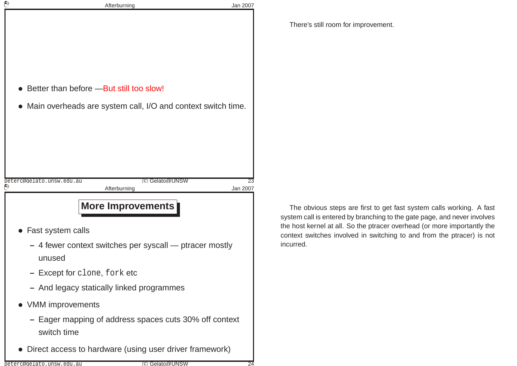|   | Afterburning                                                          | Jan 2007 |
|---|-----------------------------------------------------------------------|----------|
|   |                                                                       |          |
|   |                                                                       |          |
|   |                                                                       |          |
|   |                                                                       |          |
|   | Better than before - But still too slow!                              |          |
|   | Main overheads are system call, I/O and context switch time.          |          |
|   |                                                                       |          |
|   |                                                                       |          |
|   |                                                                       |          |
|   |                                                                       |          |
| P | (c) Gelato@UNSW<br>peterc@gelato.unsw.edu.au<br>Afterburning          | Jan 2007 |
|   |                                                                       |          |
|   |                                                                       |          |
|   | <b>More Improvements</b>                                              |          |
|   | Fast system calls                                                     |          |
|   | - 4 fewer context switches per syscall — ptracer mostly<br>unused     |          |
|   | <b>Except for clone, fork etc</b>                                     |          |
|   | - And legacy statically linked programmes                             |          |
|   | • VMM improvements                                                    |          |
|   | - Eager mapping of address spaces cuts 30% off context<br>switch time |          |

There's still room for improvement.

The obvious steps are first to get fast system calls working. A fast system call is entered by branching to the gate page, and never involves the host kernel at all. So the ptracer overhead (or more importantly the context switches involved in switching to and from the ptracer) is not incurred.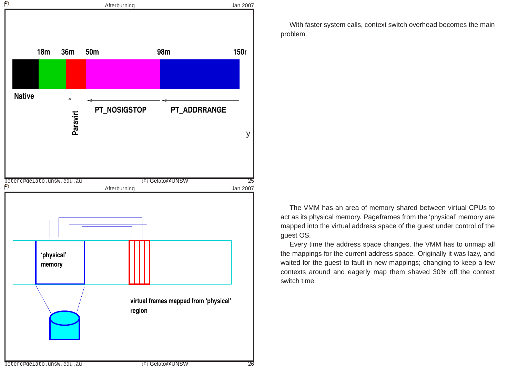

With faster system calls, context switch overhead becomes the mainproblem.

The VMM has an area of memory shared between virtual CPUs to act as its physical memory. Pageframes from the 'physical' memory are mapped into the virtual address space of the guest under control of theguest OS.

Every time the address space changes, the VMM has to unmap all the mappings for the current address space. Originally it was lazy, and waited for the guest to fault in new mappings; changing to keep <sup>a</sup> few contexts around and eagerly map them shaved 30% off the context switch time.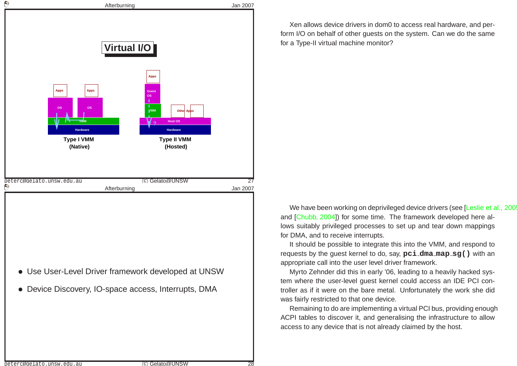

Xen allows device drivers in dom0 to access real hardware, and perform I/O on behalf of other guests on the system. Can we do the samefor <sup>a</sup> Type-II virtual machine monitor?

We have been working on deprivileged device drivers (see [\[Leslie](#page-15-5) et al., 2005] and [\[Chubb,](#page-15-6) 2004]) for some time. The framework developed here allows suitably privileged processes to set up and tear down mappingsfor DMA, and to receive interrupts.

It should be possible to integrate this into the VMM, and respond to requests by the guest kernel to do, say, **pci dma map sg()** with an appropriate call into the user level driver framework.

Myrto Zehnder did this in early '06, leading to <sup>a</sup> heavily hacked system where the user-level guest kernel could access an IDE PCI con troller as if it were on the bare metal. Unfortunately the work she didwas fairly restricted to that one device.

Remaining to do are implementing <sup>a</sup> virtual PCI bus, providing enough ACPI tables to discover it, and generalising the infrastructure to allowaccess to any device that is not already claimed by the host.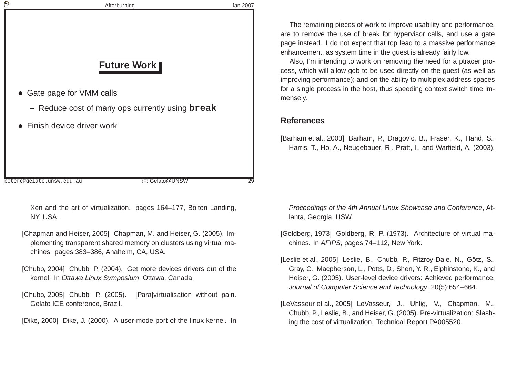<span id="page-15-2"></span><span id="page-15-1"></span>

| $\mathbb{G}$ | Afterburning                                           | Jan 2007 |
|--------------|--------------------------------------------------------|----------|
|              |                                                        |          |
|              |                                                        |          |
|              |                                                        |          |
|              | <b>Future Work</b>                                     |          |
|              | • Gate page for VMM calls                              |          |
|              | - Reduce cost of many ops currently using <b>break</b> |          |
|              | • Finish device driver work                            |          |
|              |                                                        |          |
|              |                                                        |          |
|              |                                                        |          |
|              | peterc@gelato.unsw.edu.au<br>(c) Gelato@UNSW           | 29       |

Xen and the art of virtualization. pages 164–177, Bolton Landing, NY, USA.

- [Chapman and Heiser, 2005] Chapman, M. and Heiser, G. (2005). Implementing transparent shared memory on clusters using virtual machines. pages 383–386, Anaheim, CA, USA.
- [Chubb, 2004] Chubb, P. (2004). Get more devices drivers out of the kernel! In *Ottawa Linux Symposium*, Ottawa, Canada.
- [Chubb, 2005] Chubb, P. (2005). [Para]virtualisation without pain. Gelato ICE conference, Brazil.
- [Dike, 2000] Dike, J. (2000). A user-mode port of the linux kernel. In

<span id="page-15-6"></span><span id="page-15-5"></span><span id="page-15-4"></span><span id="page-15-3"></span><span id="page-15-0"></span>The remaining pieces of work to improve usability and performance, are to remove the use of break for hypervisor calls, and use <sup>a</sup> gate page instead. I do not expect that top lead to <sup>a</sup> massive performanceenhancement, as system time in the guest is already fairly low.

Also, I'm intending to work on removing the need for <sup>a</sup> ptracer process, which will allow gdb to be used directly on the guest (as well as improving performance); and on the ability to multiplex address spaces for <sup>a</sup> single process in the host, thus speeding context switch time immensely.

#### **References**

[Barham et al., 2003] Barham, P., Dragovic, B., Fraser, K., Hand, S., Harris, T., Ho, A., Neugebauer, R., Pratt, I., and Warfield, A. (2003).

Proceedings of the 4th Annual Linux Showcase and Conference, Atlanta, Georgia, USW.

- [Goldberg, 1973] Goldberg, R. P. (1973). Architecture of virtual machines. In *AFIPS*, pages 74–112, New York.
- [Leslie et al., 2005] Leslie, B., Chubb, P., Fitzroy-Dale, N., Götz, S., Gray, C., Macpherson, L., Potts, D., Shen, Y. R., Elphinstone, K., and Heiser, G. (2005). User-level device drivers: Achieved performance. Journal of Computer Science and Technology, 20(5):654–664.
- [LeVasseur et al., 2005] LeVasseur, J., Uhlig, V., Chapman, M., Chubb, P., Leslie, B., and Heiser, G. (2005). Pre-virtualization: Slashing the cost of virtualization. Technical Report PA005520.